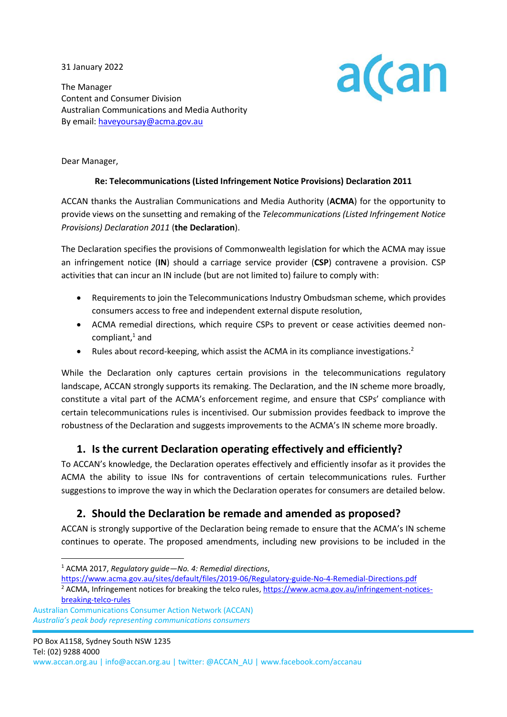31 January 2022

The Manager Content and Consumer Division Australian Communications and Media Authority By email: haveyoursay@acma.gov.au



Dear Manager,

#### **Re: Telecommunications (Listed Infringement Notice Provisions) Declaration 2011**

ACCAN thanks the Australian Communications and Media Authority (**ACMA**) for the opportunity to provide views on the sunsetting and remaking of the *Telecommunications (Listed Infringement Notice Provisions) Declaration 2011* (**the Declaration**).

The Declaration specifies the provisions of Commonwealth legislation for which the ACMA may issue an infringement notice (**IN**) should a carriage service provider (**CSP**) contravene a provision. CSP activities that can incur an IN include (but are not limited to) failure to comply with:

- Requirements to join the Telecommunications Industry Ombudsman scheme, which provides consumers access to free and independent external dispute resolution,
- ACMA remedial directions, which require CSPs to prevent or cease activities deemed noncompliant, $<sup>1</sup>$  and</sup>
- Rules about record-keeping, which assist the ACMA in its compliance investigations.<sup>2</sup>

While the Declaration only captures certain provisions in the telecommunications regulatory landscape, ACCAN strongly supports its remaking. The Declaration, and the IN scheme more broadly, constitute a vital part of the ACMA's enforcement regime, and ensure that CSPs' compliance with certain telecommunications rules is incentivised. Our submission provides feedback to improve the robustness of the Declaration and suggests improvements to the ACMA's IN scheme more broadly.

## **1. Is the current Declaration operating effectively and efficiently?**

To ACCAN's knowledge, the Declaration operates effectively and efficiently insofar as it provides the ACMA the ability to issue INs for contraventions of certain telecommunications rules. Further suggestions to improve the way in which the Declaration operates for consumers are detailed below.

# **2. Should the Declaration be remade and amended as proposed?**

ACCAN is strongly supportive of the Declaration being remade to ensure that the ACMA's IN scheme continues to operate. The proposed amendments, including new provisions to be included in the

<https://www.acma.gov.au/sites/default/files/2019-06/Regulatory-guide-No-4-Remedial-Directions.pdf> <sup>2</sup> ACMA, Infringement notices for breaking the telco rules, [https://www.acma.gov.au/infringement-notices-](https://www.acma.gov.au/infringement-notices-breaking-telco-rules)

<sup>1</sup> ACMA 2017, *Regulatory guide—No. 4: Remedial directions*,

[breaking-telco-rules](https://www.acma.gov.au/infringement-notices-breaking-telco-rules)

Australian Communications Consumer Action Network (ACCAN)  *Australia's peak body representing communications consumers*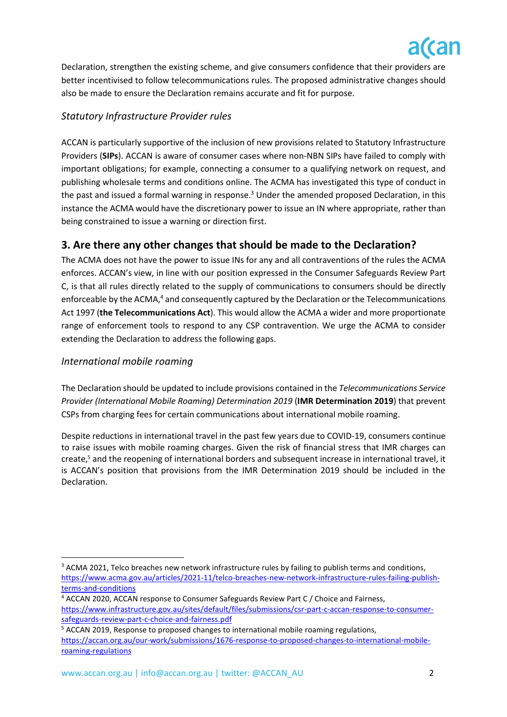

Declaration, strengthen the existing scheme, and give consumers confidence that their providers are better incentivised to follow telecommunications rules. The proposed administrative changes should also be made to ensure the Declaration remains accurate and fit for purpose.

## *Statutory Infrastructure Provider rules*

ACCAN is particularly supportive of the inclusion of new provisions related to Statutory Infrastructure Providers (**SIPs**). ACCAN is aware of consumer cases where non-NBN SIPs have failed to comply with important obligations; for example, connecting a consumer to a qualifying network on request, and publishing wholesale terms and conditions online. The ACMA has investigated this type of conduct in the past and issued a formal warning in response.<sup>3</sup> Under the amended proposed Declaration, in this instance the ACMA would have the discretionary power to issue an IN where appropriate, rather than being constrained to issue a warning or direction first.

# **3. Are there any other changes that should be made to the Declaration?**

The ACMA does not have the power to issue INs for any and all contraventions of the rules the ACMA enforces. ACCAN's view, in line with our position expressed in the Consumer Safeguards Review Part C, is that all rules directly related to the supply of communications to consumers should be directly enforceable by the ACMA,<sup>4</sup> and consequently captured by the Declaration or the Telecommunications Act 1997 (**the Telecommunications Act**). This would allow the ACMA a wider and more proportionate range of enforcement tools to respond to any CSP contravention. We urge the ACMA to consider extending the Declaration to address the following gaps.

### *International mobile roaming*

The Declaration should be updated to include provisions contained in the *Telecommunications Service Provider (International Mobile Roaming) Determination 2019* (**IMR Determination 2019**) that prevent CSPs from charging fees for certain communications about international mobile roaming.

Despite reductions in international travel in the past few years due to COVID-19, consumers continue to raise issues with mobile roaming charges. Given the risk of financial stress that IMR charges can create,<sup>5</sup> and the reopening of international borders and subsequent increase in international travel, it is ACCAN's position that provisions from the IMR Determination 2019 should be included in the Declaration.

<sup>&</sup>lt;sup>3</sup> ACMA 2021, Telco breaches new network infrastructure rules by failing to publish terms and conditions, [https://www.acma.gov.au/articles/2021-11/telco-breaches-new-network-infrastructure-rules-failing-publish](https://www.acma.gov.au/articles/2021-11/telco-breaches-new-network-infrastructure-rules-failing-publish-terms-and-conditions)[terms-and-conditions](https://www.acma.gov.au/articles/2021-11/telco-breaches-new-network-infrastructure-rules-failing-publish-terms-and-conditions)

<sup>4</sup> ACCAN 2020, ACCAN response to Consumer Safeguards Review Part C / Choice and Fairness, [https://www.infrastructure.gov.au/sites/default/files/submissions/csr-part-c-accan-response-to-consumer](https://www.infrastructure.gov.au/sites/default/files/submissions/csr-part-c-accan-response-to-consumer-safeguards-review-part-c-choice-and-fairness.pdf)[safeguards-review-part-c-choice-and-fairness.pdf](https://www.infrastructure.gov.au/sites/default/files/submissions/csr-part-c-accan-response-to-consumer-safeguards-review-part-c-choice-and-fairness.pdf)

<sup>&</sup>lt;sup>5</sup> ACCAN 2019, Response to proposed changes to international mobile roaming regulations, [https://accan.org.au/our-work/submissions/1676-response-to-proposed-changes-to-international-mobile](https://accan.org.au/our-work/submissions/1676-response-to-proposed-changes-to-international-mobile-roaming-regulations)[roaming-regulations](https://accan.org.au/our-work/submissions/1676-response-to-proposed-changes-to-international-mobile-roaming-regulations)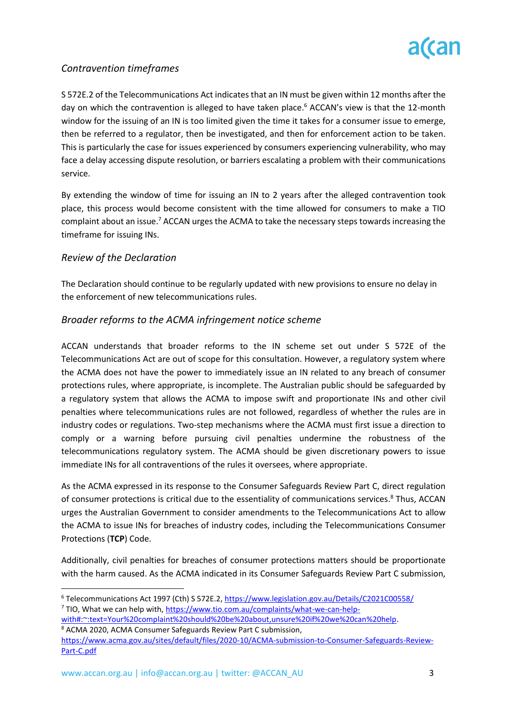

## *Contravention timeframes*

S 572E.2 of the Telecommunications Act indicates that an IN must be given within 12 months after the day on which the contravention is alleged to have taken place. <sup>6</sup> ACCAN's view is that the 12-month window for the issuing of an IN is too limited given the time it takes for a consumer issue to emerge, then be referred to a regulator, then be investigated, and then for enforcement action to be taken. This is particularly the case for issues experienced by consumers experiencing vulnerability, who may face a delay accessing dispute resolution, or barriers escalating a problem with their communications service.

By extending the window of time for issuing an IN to 2 years after the alleged contravention took place, this process would become consistent with the time allowed for consumers to make a TIO complaint about an issue.<sup>7</sup> ACCAN urges the ACMA to take the necessary steps towards increasing the timeframe for issuing INs.

### *Review of the Declaration*

The Declaration should continue to be regularly updated with new provisions to ensure no delay in the enforcement of new telecommunications rules.

#### *Broader reforms to the ACMA infringement notice scheme*

ACCAN understands that broader reforms to the IN scheme set out under S 572E of the Telecommunications Act are out of scope for this consultation. However, a regulatory system where the ACMA does not have the power to immediately issue an IN related to any breach of consumer protections rules, where appropriate, is incomplete. The Australian public should be safeguarded by a regulatory system that allows the ACMA to impose swift and proportionate INs and other civil penalties where telecommunications rules are not followed, regardless of whether the rules are in industry codes or regulations. Two-step mechanisms where the ACMA must first issue a direction to comply or a warning before pursuing civil penalties undermine the robustness of the telecommunications regulatory system. The ACMA should be given discretionary powers to issue immediate INs for all contraventions of the rules it oversees, where appropriate.

As the ACMA expressed in its response to the Consumer Safeguards Review Part C, direct regulation of consumer protections is critical due to the essentiality of communications services.<sup>8</sup> Thus, ACCAN urges the Australian Government to consider amendments to the Telecommunications Act to allow the ACMA to issue INs for breaches of industry codes, including the Telecommunications Consumer Protections (**TCP**) Code.

Additionally, civil penalties for breaches of consumer protections matters should be proportionate with the harm caused. As the ACMA indicated in its Consumer Safeguards Review Part C submission,

<sup>6</sup> Telecommunications Act 1997 (Cth) S 572E.2,<https://www.legislation.gov.au/Details/C2021C00558/> <sup>7</sup> TIO, What we can help with[, https://www.tio.com.au/complaints/what-we-can-help-](https://www.tio.com.au/complaints/what-we-can-help-with#:~:text=Your%20complaint%20should%20be%20about,unsure%20if%20we%20can%20help)

[with#:~:text=Your%20complaint%20should%20be%20about,unsure%20if%20we%20can%20help.](https://www.tio.com.au/complaints/what-we-can-help-with#:~:text=Your%20complaint%20should%20be%20about,unsure%20if%20we%20can%20help) <sup>8</sup> ACMA 2020, ACMA Consumer Safeguards Review Part C submission,

[https://www.acma.gov.au/sites/default/files/2020-10/ACMA-submission-to-Consumer-Safeguards-Review-](https://www.acma.gov.au/sites/default/files/2020-10/ACMA-submission-to-Consumer-Safeguards-Review-Part-C.pdf)[Part-C.pdf](https://www.acma.gov.au/sites/default/files/2020-10/ACMA-submission-to-Consumer-Safeguards-Review-Part-C.pdf)